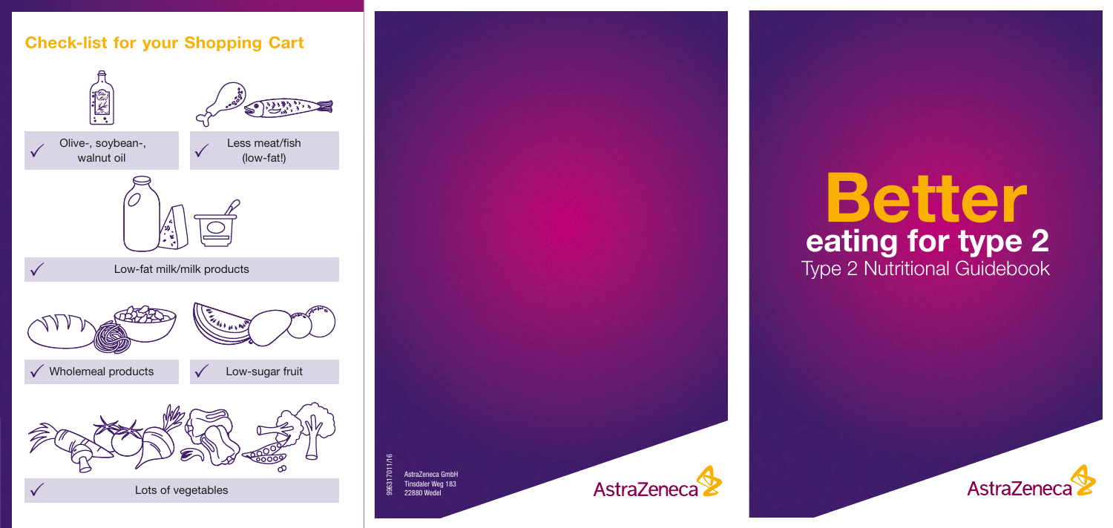# **Check-list for your Shopping Cart**



AstraZeneca GmbH<br>Tinsdaler Weg 183 22880 Wedel



# **Better** Type 2 Nutritional Guidebook **eating for type 2**

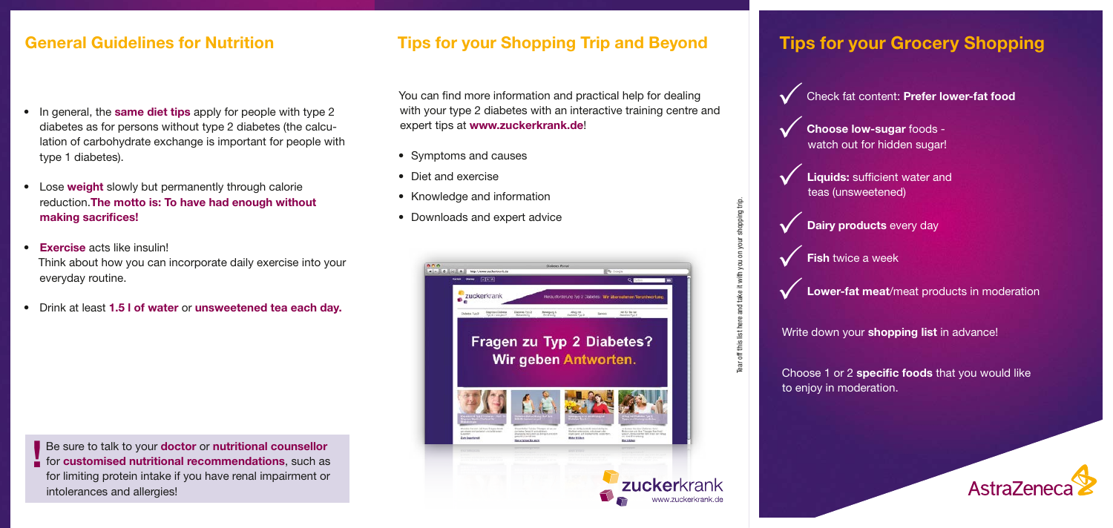## **General Guidelines for Nutrition**

- In general, the **same diet tips** apply for people with type 2 diabetes as for persons without type 2 diabetes (the calculation of carbohydrate exchange is important for people with type 1 diabetes).
- Lose **weight** slowly but permanently through calorie reduction.**The motto is: To have had enough without**  making sacrifices!
- **Exercise** acts like insulin! Think about how you can incorporate daily exercise into your everyday routine.
- Drink at least **1.5 l of water** or **unsweetened tea each day.**

**e** sure to talk to your **doctor** or **nutritional counsellor** for **customised nutritional recommendations**, such as Be sure to talk to your **doctor** or **nutritional counsellor** for limiting protein intake if you have renal impairment or intolerances and allergies!

### **Tips for your Shopping Trip and Beyond**

You can find more information and practical help for dealing with your type 2 diabetes with an interactive training centre and expert tips at **www.zuckerkrank.de**!

- Symptoms and causes
- Diet and exercise
- Knowledge and information
- Downloads and expert advice



# **Tips for your Grocery Shopping**

Check fat content: **Prefer lower-fat food**  $\checkmark$ 

**Choose low-sugar** foods watch out for hidden sugar!  $\checkmark$ 

**Liquids:** sufficient water and teas (unsweetened)  $\checkmark$ 



**Fish** twice a week  $\checkmark$ 

Tear off this list here and take it with you on your shopping trip.

fear off this list here and take it with you on your shopping trip.

**Lower-fat meat**/meat products in moderation  $\checkmark$ 

Write down your **shopping list** in advance!

Choose 1 or 2 **specific foods** that you would like to enjoy in moderation.

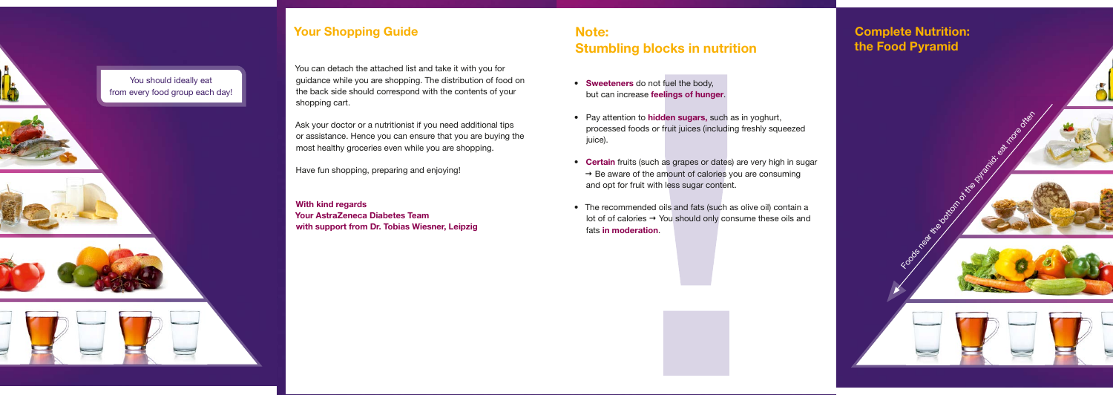- **Sweeteners** do not fuel the body, but can increase **feelings of hunger**.
- Pay attention to **hidden sugars,** such as in yoghurt, processed foods or fruit juices (including freshly squeezed juice).
- **Certain** fruits (such as grapes or dates) are very high in sugar  $\rightarrow$  Be aware of the amount of calories you are consuming and opt for fruit with less sugar content.
- The recommended oils and fats (such as olive oil) contain a lot of of calories  $\rightarrow$  You should only consume these oils and fats **in moderation**.

# **Note: Stumbling blocks in nutrition**

# **Complete Nutrition: the Food Pyramid**



Foods near the bottom of the pyramid: eat more of the pyramid: eat more of the







8

You should ideally eat from every food group each day!





# **Your Shopping Guide**

You can detach the attached list and take it with you for guidance while you are shopping. The distribution of food on the back side should correspond with the contents of your shopping cart.

Ask your doctor or a nutritionist if you need additional tips or assistance. Hence you can ensure that you are buying the most healthy groceries even while you are shopping.

Have fun shopping, preparing and enjoying!

**With kind regards Your AstraZeneca Diabetes Team with support from Dr. Tobias Wiesner, Leipzig**